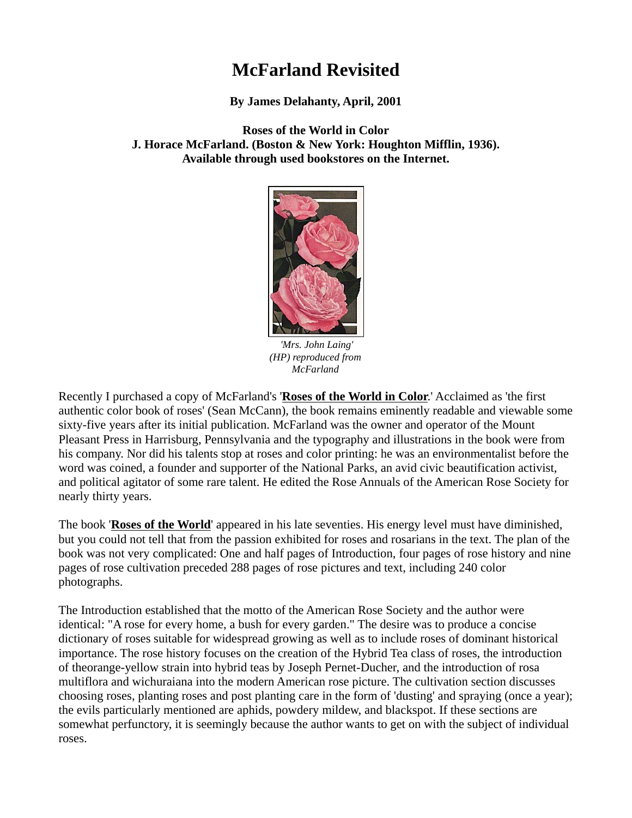# **McFarland Revisited**

**By James Delahanty, April, 2001**

**Roses of the World in Color J. Horace McFarland. (Boston & New York: Houghton Mifflin, 1936). Available through used bookstores on the Internet.**



*'Mrs. John Laing' (HP) reproduced from McFarland*

Recently I purchased a copy of McFarland's '**Roses of the World in Color**.' Acclaimed as 'the first authentic color book of roses' (Sean McCann), the book remains eminently readable and viewable some sixty-five years after its initial publication. McFarland was the owner and operator of the Mount Pleasant Press in Harrisburg, Pennsylvania and the typography and illustrations in the book were from his company. Nor did his talents stop at roses and color printing: he was an environmentalist before the word was coined, a founder and supporter of the National Parks, an avid civic beautification activist, and political agitator of some rare talent. He edited the Rose Annuals of the American Rose Society for nearly thirty years.

The book '**Roses of the World**' appeared in his late seventies. His energy level must have diminished, but you could not tell that from the passion exhibited for roses and rosarians in the text. The plan of the book was not very complicated: One and half pages of Introduction, four pages of rose history and nine pages of rose cultivation preceded 288 pages of rose pictures and text, including 240 color photographs.

The Introduction established that the motto of the American Rose Society and the author were identical: "A rose for every home, a bush for every garden." The desire was to produce a concise dictionary of roses suitable for widespread growing as well as to include roses of dominant historical importance. The rose history focuses on the creation of the Hybrid Tea class of roses, the introduction of theorange-yellow strain into hybrid teas by Joseph Pernet-Ducher, and the introduction of rosa multiflora and wichuraiana into the modern American rose picture. The cultivation section discusses choosing roses, planting roses and post planting care in the form of 'dusting' and spraying (once a year); the evils particularly mentioned are aphids, powdery mildew, and blackspot. If these sections are somewhat perfunctory, it is seemingly because the author wants to get on with the subject of individual roses.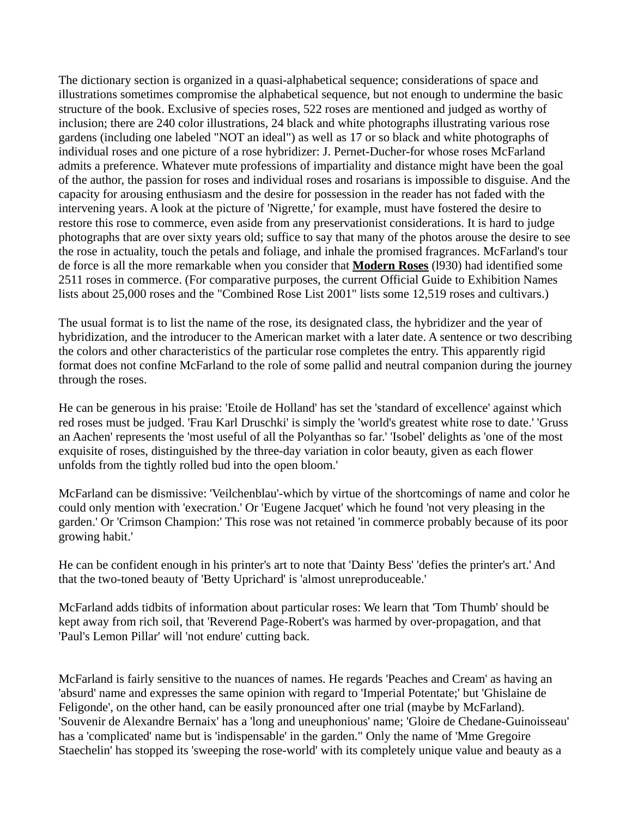The dictionary section is organized in a quasi-alphabetical sequence; considerations of space and illustrations sometimes compromise the alphabetical sequence, but not enough to undermine the basic structure of the book. Exclusive of species roses, 522 roses are mentioned and judged as worthy of inclusion; there are 240 color illustrations, 24 black and white photographs illustrating various rose gardens (including one labeled "NOT an ideal") as well as 17 or so black and white photographs of individual roses and one picture of a rose hybridizer: J. Pernet-Ducher-for whose roses McFarland admits a preference. Whatever mute professions of impartiality and distance might have been the goal of the author, the passion for roses and individual roses and rosarians is impossible to disguise. And the capacity for arousing enthusiasm and the desire for possession in the reader has not faded with the intervening years. A look at the picture of 'Nigrette,' for example, must have fostered the desire to restore this rose to commerce, even aside from any preservationist considerations. It is hard to judge photographs that are over sixty years old; suffice to say that many of the photos arouse the desire to see the rose in actuality, touch the petals and foliage, and inhale the promised fragrances. McFarland's tour de force is all the more remarkable when you consider that **Modern Roses** (l930) had identified some 2511 roses in commerce. (For comparative purposes, the current Official Guide to Exhibition Names lists about 25,000 roses and the "Combined Rose List 2001" lists some 12,519 roses and cultivars.)

The usual format is to list the name of the rose, its designated class, the hybridizer and the year of hybridization, and the introducer to the American market with a later date. A sentence or two describing the colors and other characteristics of the particular rose completes the entry. This apparently rigid format does not confine McFarland to the role of some pallid and neutral companion during the journey through the roses.

He can be generous in his praise: 'Etoile de Holland' has set the 'standard of excellence' against which red roses must be judged. 'Frau Karl Druschki' is simply the 'world's greatest white rose to date.' 'Gruss an Aachen' represents the 'most useful of all the Polyanthas so far.' 'Isobel' delights as 'one of the most exquisite of roses, distinguished by the three-day variation in color beauty, given as each flower unfolds from the tightly rolled bud into the open bloom.'

McFarland can be dismissive: 'Veilchenblau'-which by virtue of the shortcomings of name and color he could only mention with 'execration.' Or 'Eugene Jacquet' which he found 'not very pleasing in the garden.' Or 'Crimson Champion:' This rose was not retained 'in commerce probably because of its poor growing habit.'

He can be confident enough in his printer's art to note that 'Dainty Bess' 'defies the printer's art.' And that the two-toned beauty of 'Betty Uprichard' is 'almost unreproduceable.'

McFarland adds tidbits of information about particular roses: We learn that 'Tom Thumb' should be kept away from rich soil, that 'Reverend Page-Robert's was harmed by over-propagation, and that 'Paul's Lemon Pillar' will 'not endure' cutting back.

McFarland is fairly sensitive to the nuances of names. He regards 'Peaches and Cream' as having an 'absurd' name and expresses the same opinion with regard to 'Imperial Potentate;' but 'Ghislaine de Feligonde', on the other hand, can be easily pronounced after one trial (maybe by McFarland). 'Souvenir de Alexandre Bernaix' has a 'long and uneuphonious' name; 'Gloire de Chedane-Guinoisseau' has a 'complicated' name but is 'indispensable' in the garden." Only the name of 'Mme Gregoire Staechelin' has stopped its 'sweeping the rose-world' with its completely unique value and beauty as a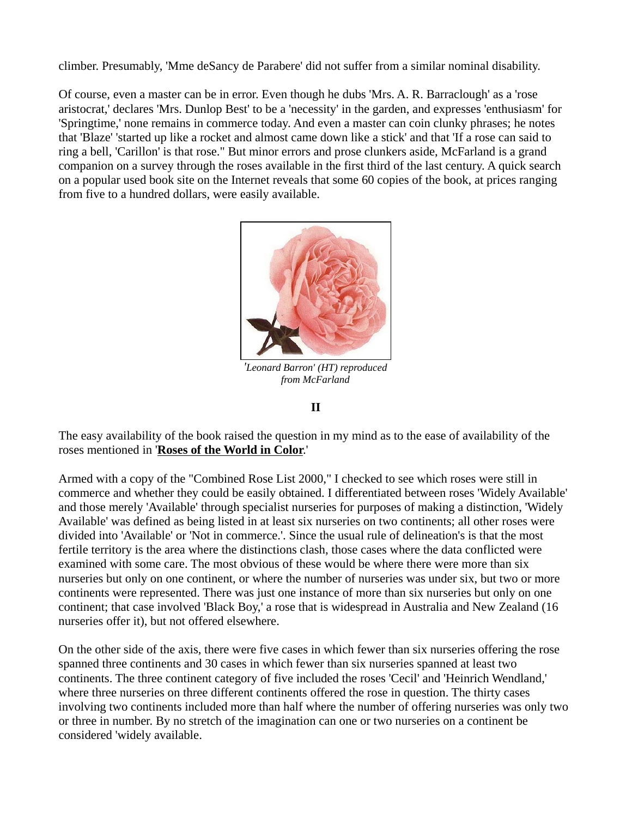climber. Presumably, 'Mme deSancy de Parabere' did not suffer from a similar nominal disability.

Of course, even a master can be in error. Even though he dubs 'Mrs. A. R. Barraclough' as a 'rose aristocrat,' declares 'Mrs. Dunlop Best' to be a 'necessity' in the garden, and expresses 'enthusiasm' for 'Springtime,' none remains in commerce today. And even a master can coin clunky phrases; he notes that 'Blaze' 'started up like a rocket and almost came down like a stick' and that 'If a rose can said to ring a bell, 'Carillon' is that rose." But minor errors and prose clunkers aside, McFarland is a grand companion on a survey through the roses available in the first third of the last century. A quick search on a popular used book site on the Internet reveals that some 60 copies of the book, at prices ranging from five to a hundred dollars, were easily available.



*'Leonard Barron' (HT) reproduced from McFarland*

**II**

The easy availability of the book raised the question in my mind as to the ease of availability of the roses mentioned in '**Roses of the World in Color**.'

Armed with a copy of the "Combined Rose List 2000," I checked to see which roses were still in commerce and whether they could be easily obtained. I differentiated between roses 'Widely Available' and those merely 'Available' through specialist nurseries for purposes of making a distinction, 'Widely Available' was defined as being listed in at least six nurseries on two continents; all other roses were divided into 'Available' or 'Not in commerce.'. Since the usual rule of delineation's is that the most fertile territory is the area where the distinctions clash, those cases where the data conflicted were examined with some care. The most obvious of these would be where there were more than six nurseries but only on one continent, or where the number of nurseries was under six, but two or more continents were represented. There was just one instance of more than six nurseries but only on one continent; that case involved 'Black Boy,' a rose that is widespread in Australia and New Zealand (16 nurseries offer it), but not offered elsewhere.

On the other side of the axis, there were five cases in which fewer than six nurseries offering the rose spanned three continents and 30 cases in which fewer than six nurseries spanned at least two continents. The three continent category of five included the roses 'Cecil' and 'Heinrich Wendland,' where three nurseries on three different continents offered the rose in question. The thirty cases involving two continents included more than half where the number of offering nurseries was only two or three in number. By no stretch of the imagination can one or two nurseries on a continent be considered 'widely available.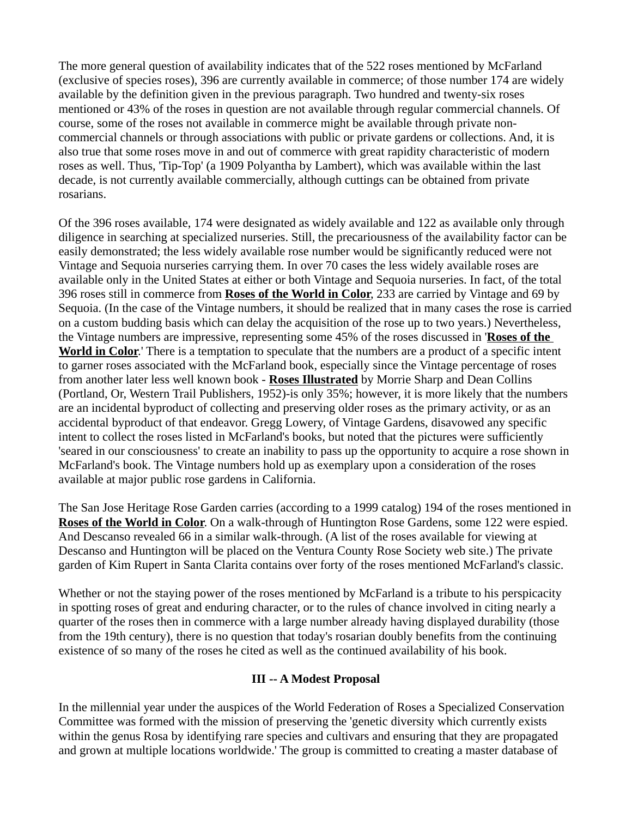The more general question of availability indicates that of the 522 roses mentioned by McFarland (exclusive of species roses), 396 are currently available in commerce; of those number 174 are widely available by the definition given in the previous paragraph. Two hundred and twenty-six roses mentioned or 43% of the roses in question are not available through regular commercial channels. Of course, some of the roses not available in commerce might be available through private noncommercial channels or through associations with public or private gardens or collections. And, it is also true that some roses move in and out of commerce with great rapidity characteristic of modern roses as well. Thus, 'Tip-Top' (a 1909 Polyantha by Lambert), which was available within the last decade, is not currently available commercially, although cuttings can be obtained from private rosarians.

Of the 396 roses available, 174 were designated as widely available and 122 as available only through diligence in searching at specialized nurseries. Still, the precariousness of the availability factor can be easily demonstrated; the less widely available rose number would be significantly reduced were not Vintage and Sequoia nurseries carrying them. In over 70 cases the less widely available roses are available only in the United States at either or both Vintage and Sequoia nurseries. In fact, of the total 396 roses still in commerce from **Roses of the World in Color**, 233 are carried by Vintage and 69 by Sequoia. (In the case of the Vintage numbers, it should be realized that in many cases the rose is carried on a custom budding basis which can delay the acquisition of the rose up to two years.) Nevertheless, the Vintage numbers are impressive, representing some 45% of the roses discussed in '**Roses of the World in Color**.' There is a temptation to speculate that the numbers are a product of a specific intent to garner roses associated with the McFarland book, especially since the Vintage percentage of roses from another later less well known book - **Roses Illustrated** by Morrie Sharp and Dean Collins (Portland, Or, Western Trail Publishers, 1952)-is only 35%; however, it is more likely that the numbers are an incidental byproduct of collecting and preserving older roses as the primary activity, or as an accidental byproduct of that endeavor. Gregg Lowery, of Vintage Gardens, disavowed any specific intent to collect the roses listed in McFarland's books, but noted that the pictures were sufficiently 'seared in our consciousness' to create an inability to pass up the opportunity to acquire a rose shown in McFarland's book. The Vintage numbers hold up as exemplary upon a consideration of the roses available at major public rose gardens in California.

The San Jose Heritage Rose Garden carries (according to a 1999 catalog) 194 of the roses mentioned in **Roses of the World in Color**. On a walk-through of Huntington Rose Gardens, some 122 were espied. And Descanso revealed 66 in a similar walk-through. (A list of the roses available for viewing at Descanso and Huntington will be placed on the Ventura County Rose Society web site.) The private garden of Kim Rupert in Santa Clarita contains over forty of the roses mentioned McFarland's classic.

Whether or not the staying power of the roses mentioned by McFarland is a tribute to his perspicacity in spotting roses of great and enduring character, or to the rules of chance involved in citing nearly a quarter of the roses then in commerce with a large number already having displayed durability (those from the 19th century), there is no question that today's rosarian doubly benefits from the continuing existence of so many of the roses he cited as well as the continued availability of his book.

### **III -- A Modest Proposal**

In the millennial year under the auspices of the World Federation of Roses a Specialized Conservation Committee was formed with the mission of preserving the 'genetic diversity which currently exists within the genus Rosa by identifying rare species and cultivars and ensuring that they are propagated and grown at multiple locations worldwide.' The group is committed to creating a master database of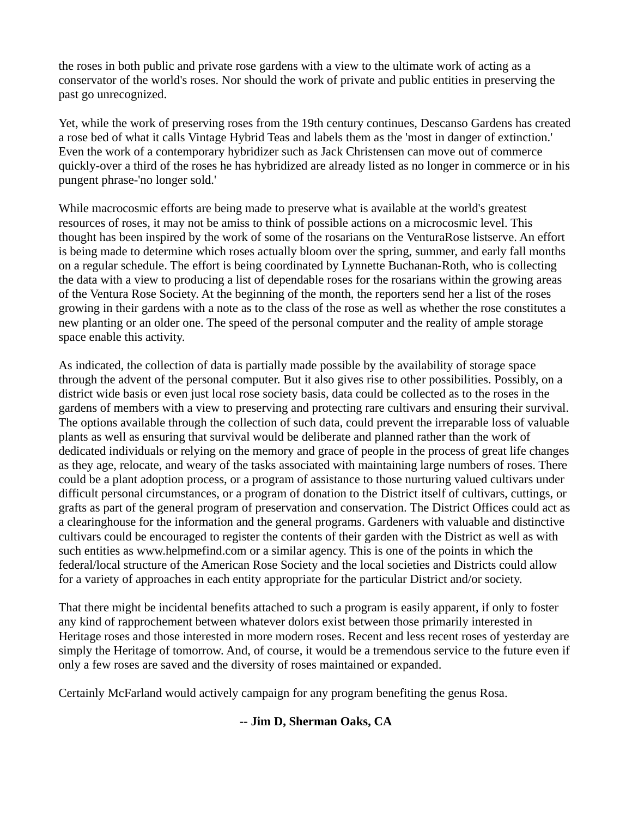the roses in both public and private rose gardens with a view to the ultimate work of acting as a conservator of the world's roses. Nor should the work of private and public entities in preserving the past go unrecognized.

Yet, while the work of preserving roses from the 19th century continues, Descanso Gardens has created a rose bed of what it calls Vintage Hybrid Teas and labels them as the 'most in danger of extinction.' Even the work of a contemporary hybridizer such as Jack Christensen can move out of commerce quickly-over a third of the roses he has hybridized are already listed as no longer in commerce or in his pungent phrase-'no longer sold.'

While macrocosmic efforts are being made to preserve what is available at the world's greatest resources of roses, it may not be amiss to think of possible actions on a microcosmic level. This thought has been inspired by the work of some of the rosarians on the VenturaRose listserve. An effort is being made to determine which roses actually bloom over the spring, summer, and early fall months on a regular schedule. The effort is being coordinated by Lynnette Buchanan-Roth, who is collecting the data with a view to producing a list of dependable roses for the rosarians within the growing areas of the Ventura Rose Society. At the beginning of the month, the reporters send her a list of the roses growing in their gardens with a note as to the class of the rose as well as whether the rose constitutes a new planting or an older one. The speed of the personal computer and the reality of ample storage space enable this activity.

As indicated, the collection of data is partially made possible by the availability of storage space through the advent of the personal computer. But it also gives rise to other possibilities. Possibly, on a district wide basis or even just local rose society basis, data could be collected as to the roses in the gardens of members with a view to preserving and protecting rare cultivars and ensuring their survival. The options available through the collection of such data, could prevent the irreparable loss of valuable plants as well as ensuring that survival would be deliberate and planned rather than the work of dedicated individuals or relying on the memory and grace of people in the process of great life changes as they age, relocate, and weary of the tasks associated with maintaining large numbers of roses. There could be a plant adoption process, or a program of assistance to those nurturing valued cultivars under difficult personal circumstances, or a program of donation to the District itself of cultivars, cuttings, or grafts as part of the general program of preservation and conservation. The District Offices could act as a clearinghouse for the information and the general programs. Gardeners with valuable and distinctive cultivars could be encouraged to register the contents of their garden with the District as well as with such entities as www.helpmefind.com or a similar agency. This is one of the points in which the federal/local structure of the American Rose Society and the local societies and Districts could allow for a variety of approaches in each entity appropriate for the particular District and/or society.

That there might be incidental benefits attached to such a program is easily apparent, if only to foster any kind of rapprochement between whatever dolors exist between those primarily interested in Heritage roses and those interested in more modern roses. Recent and less recent roses of yesterday are simply the Heritage of tomorrow. And, of course, it would be a tremendous service to the future even if only a few roses are saved and the diversity of roses maintained or expanded.

Certainly McFarland would actively campaign for any program benefiting the genus Rosa.

## **-- Jim D, Sherman Oaks, CA**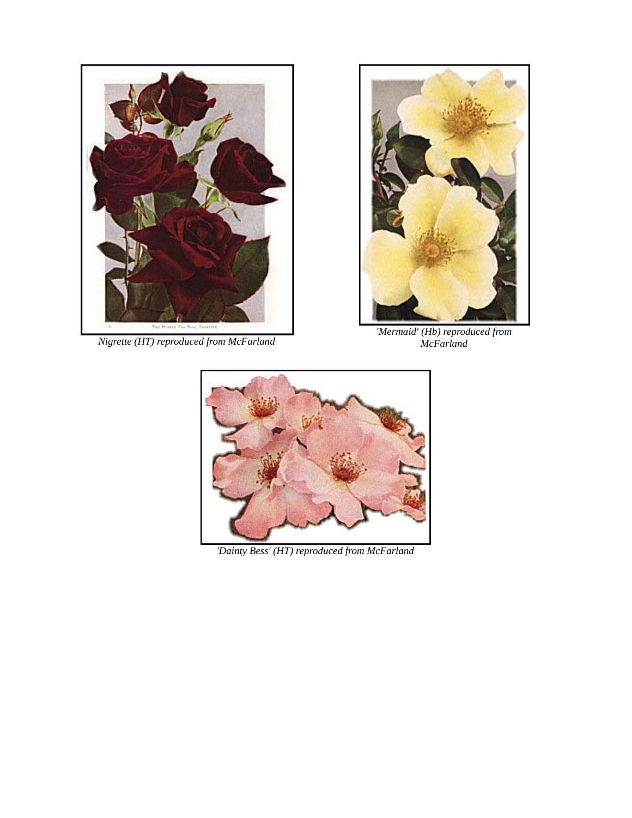

*Nigrette (HT) reproduced from McFarland*



*'Mermaid' (Hb) reproduced from McFarland*



*'Dainty Bess' (HT) reproduced from McFarland*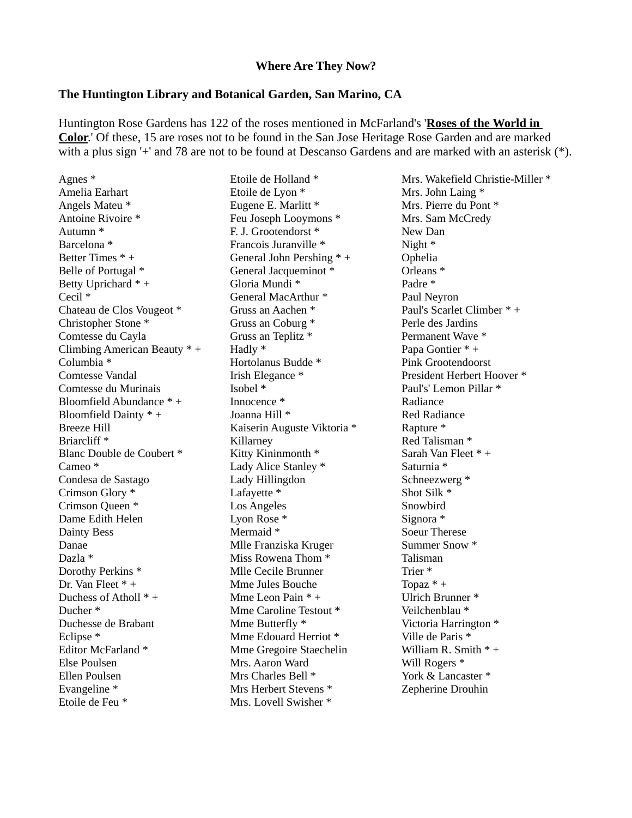#### **Where Are They Now?**

#### **The Huntington Library and Botanical Garden, San Marino, CA**

Huntington Rose Gardens has 122 of the roses mentioned in McFarland's '**Roses of the World in Color**.' Of these, 15 are roses not to be found in the San Jose Heritage Rose Garden and are marked with a plus sign '+' and 78 are not to be found at Descanso Gardens and are marked with an asterisk (\*).

Agnes \* Amelia Earhart Angels Mateu \* Antoine Rivoire \* Autumn \* Barcelona \* Better Times \* + Belle of Portugal \* Betty Uprichard \* + Cecil \* Chateau de Clos Vougeot \* Christopher Stone \* Comtesse du Cayla Climbing American Beauty \* + Columbia \* Comtesse Vandal Comtesse du Murinais Bloomfield Abundance \* + Bloomfield Dainty \* + Breeze Hill Briarcliff \* Blanc Double de Coubert \* Cameo \* Condesa de Sastago Crimson Glory \* Crimson Queen \* Dame Edith Helen Dainty Bess Danae Dazla \* Dorothy Perkins \* Dr. Van Fleet \* + Duchess of Atholl \* + Ducher \* Duchesse de Brabant Eclipse \* Editor McFarland \* Else Poulsen Ellen Poulsen Evangeline \* Etoile de Feu \*

Etoile de Holland \* Etoile de Lyon \* Eugene E. Marlitt \* Feu Joseph Looymons \* F. J. Grootendorst \* Francois Juranville \* General John Pershing \* + General Jacqueminot \* Gloria Mundi \* General MacArthur \* Gruss an Aachen \* Gruss an Coburg \* Gruss an Teplitz \* Hadly \* Hortolanus Budde \* Irish Elegance \* Isobel \* Innocence \* Joanna Hill \* Kaiserin Auguste Viktoria \* Killarney Kitty Kininmonth \* Lady Alice Stanley \* Lady Hillingdon Lafayette \* Los Angeles Lyon Rose \* Mermaid \* Mlle Franziska Kruger Miss Rowena Thom \* Mlle Cecile Brunner Mme Jules Bouche Mme Leon Pain \* + Mme Caroline Testout \* Mme Butterfly \* Mme Edouard Herriot \* Mme Gregoire Staechelin Mrs. Aaron Ward Mrs Charles Bell \* Mrs Herbert Stevens \* Mrs. Lovell Swisher \*

Mrs. Wakefield Christie-Miller \* Mrs. John Laing \* Mrs. Pierre du Pont \* Mrs. Sam McCredy New Dan Night \* Ophelia Orleans \* Padre \* Paul Neyron Paul's Scarlet Climber \* + Perle des Jardins Permanent Wave \* Papa Gontier \* + Pink Grootendoorst President Herbert Hoover \* Paul's' Lemon Pillar \* Radiance Red Radiance Rapture \* Red Talisman \* Sarah Van Fleet \* + Saturnia \* Schneezwerg \* Shot Silk \* Snowbird Signora \* Soeur Therese Summer Snow \* Talisman Trier \* Topaz  $* +$ Ulrich Brunner \* Veilchenblau \* Victoria Harrington \* Ville de Paris \* William R. Smith  $* +$ Will Rogers \* York & Lancaster  $*$ Zepherine Drouhin